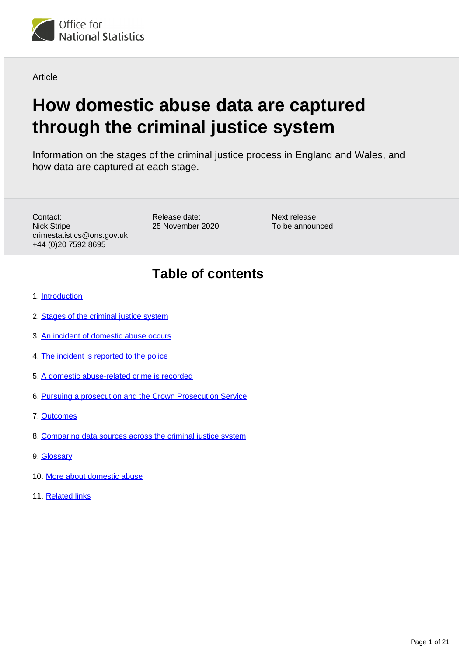

**Article** 

# **How domestic abuse data are captured through the criminal justice system**

Information on the stages of the criminal justice process in England and Wales, and how data are captured at each stage.

Contact: Nick Stripe crimestatistics@ons.gov.uk +44 (0)20 7592 8695

Release date: 25 November 2020 Next release: To be announced

## **Table of contents**

- 1. [Introduction](#page-1-0)
- 2. [Stages of the criminal justice system](#page-2-0)
- 3. [An incident of domestic abuse occurs](#page-3-0)
- 4. [The incident is reported to the police](#page-4-0)
- 5. [A domestic abuse-related crime is recorded](#page-5-0)
- 6. [Pursuing a prosecution and the Crown Prosecution Service](#page-8-0)
- 7. [Outcomes](#page-11-0)
- 8. [Comparing data sources across the criminal justice system](#page-14-0)
- 9. [Glossary](#page-15-0)
- 10. [More about domestic abuse](#page-20-0)
- 11. [Related links](#page-20-1)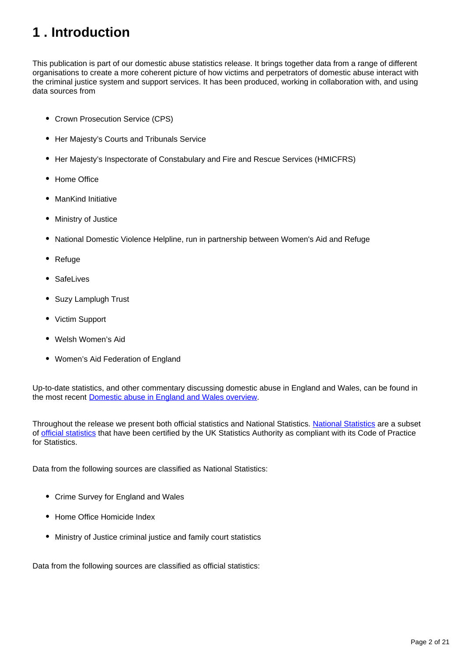## <span id="page-1-0"></span>**1 . Introduction**

This publication is part of our domestic abuse statistics release. It brings together data from a range of different organisations to create a more coherent picture of how victims and perpetrators of domestic abuse interact with the criminal justice system and support services. It has been produced, working in collaboration with, and using data sources from

- Crown Prosecution Service (CPS)
- Her Majesty's Courts and Tribunals Service
- Her Majesty's Inspectorate of Constabulary and Fire and Rescue Services (HMICFRS)
- Home Office
- ManKind Initiative
- Ministry of Justice
- National Domestic Violence Helpline, run in partnership between Women's Aid and Refuge
- Refuge
- SafeLives
- $\bullet$ Suzy Lamplugh Trust
- Victim Support
- Welsh Women's Aid
- Women's Aid Federation of England

Up-to-date statistics, and other commentary discussing domestic abuse in England and Wales, can be found in the most recent [Domestic abuse in England and Wales overview](https://www.ons.gov.uk/peoplepopulationandcommunity/crimeandjustice/bulletins/domesticabuseinenglandandwalesoverview/november2020).

Throughout the release we present both official statistics and National Statistics. [National Statistics](https://osr.statisticsauthority.gov.uk/national-statistics/) are a subset of [official statistics](https://osr.statisticsauthority.gov.uk/national-statistics/) that have been certified by the UK Statistics Authority as compliant with its Code of Practice for Statistics.

Data from the following sources are classified as National Statistics:

- Crime Survey for England and Wales
- Home Office Homicide Index
- Ministry of Justice criminal justice and family court statistics

Data from the following sources are classified as official statistics: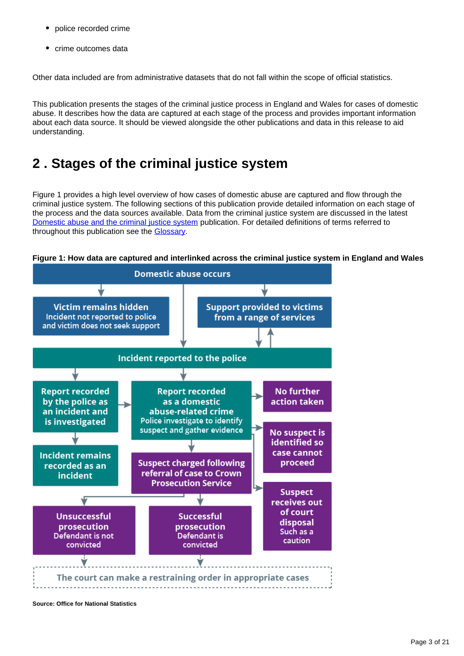- police recorded crime
- crime outcomes data

Other data included are from administrative datasets that do not fall within the scope of official statistics.

This publication presents the stages of the criminal justice process in England and Wales for cases of domestic abuse. It describes how the data are captured at each stage of the process and provides important information about each data source. It should be viewed alongside the other publications and data in this release to aid understanding.

## <span id="page-2-0"></span>**2 . Stages of the criminal justice system**

Figure 1 provides a high level overview of how cases of domestic abuse are captured and flow through the criminal justice system. The following sections of this publication provide detailed information on each stage of the process and the data sources available. Data from the criminal justice system are discussed in the latest [Domestic abuse and the criminal justice system](https://www.ons.gov.uk/peoplepopulationandcommunity/crimeandjustice/articles/domesticabuseandthecriminaljusticesystemenglandandwales/november2020) publication. For detailed definitions of terms referred to throughout this publication see the [Glossary](https://www.ons.gov.uk/peoplepopulationandcommunity/crimeandjustice/articles/howdomesticabusedataarecapturedthroughthecriminaljusticesystem/2019-11-25#glossary).





**Source: Office for National Statistics**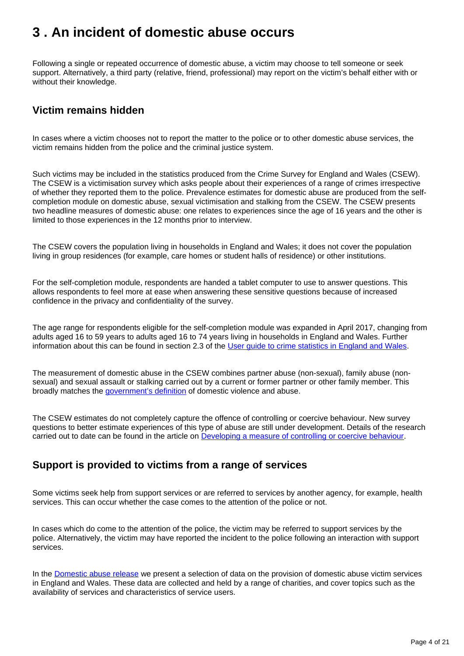## <span id="page-3-0"></span>**3 . An incident of domestic abuse occurs**

Following a single or repeated occurrence of domestic abuse, a victim may choose to tell someone or seek support. Alternatively, a third party (relative, friend, professional) may report on the victim's behalf either with or without their knowledge.

### **Victim remains hidden**

In cases where a victim chooses not to report the matter to the police or to other domestic abuse services, the victim remains hidden from the police and the criminal justice system.

Such victims may be included in the statistics produced from the Crime Survey for England and Wales (CSEW). The CSEW is a victimisation survey which asks people about their experiences of a range of crimes irrespective of whether they reported them to the police. Prevalence estimates for domestic abuse are produced from the selfcompletion module on domestic abuse, sexual victimisation and stalking from the CSEW. The CSEW presents two headline measures of domestic abuse: one relates to experiences since the age of 16 years and the other is limited to those experiences in the 12 months prior to interview.

The CSEW covers the population living in households in England and Wales; it does not cover the population living in group residences (for example, care homes or student halls of residence) or other institutions.

For the self-completion module, respondents are handed a tablet computer to use to answer questions. This allows respondents to feel more at ease when answering these sensitive questions because of increased confidence in the privacy and confidentiality of the survey.

The age range for respondents eligible for the self-completion module was expanded in April 2017, changing from adults aged 16 to 59 years to adults aged 16 to 74 years living in households in England and Wales. Further information about this can be found in section 2.3 of the [User guide to crime statistics in England and Wales](https://www.ons.gov.uk/peoplepopulationandcommunity/crimeandjustice/methodologies/userguidetocrimestatisticsforenglandandwales#crime-survey-for-england-and-wales-csew).

The measurement of domestic abuse in the CSEW combines partner abuse (non-sexual), family abuse (nonsexual) and sexual assault or stalking carried out by a current or former partner or other family member. This broadly matches the [government's definition](https://www.gov.uk/government/news/new-definition-of-domestic-violence) of domestic violence and abuse.

The CSEW estimates do not completely capture the offence of controlling or coercive behaviour. New survey questions to better estimate experiences of this type of abuse are still under development. Details of the research carried out to date can be found in the article on [Developing a measure of controlling or coercive behaviour](https://www.ons.gov.uk/peoplepopulationandcommunity/crimeandjustice/articles/developingameasureofcontrollingorcoercivebehaviour/2019-04-18).

### **Support is provided to victims from a range of services**

Some victims seek help from support services or are referred to services by another agency, for example, health services. This can occur whether the case comes to the attention of the police or not.

In cases which do come to the attention of the police, the victim may be referred to support services by the police. Alternatively, the victim may have reported the incident to the police following an interaction with support services.

In the **[Domestic abuse release](https://publishing.ons.gov.uk/peoplepopulationandcommunity/crimeandjustice/bulletins/domesticabuseinenglandandwalesoverview/november2020)** we present a selection of data on the provision of domestic abuse victim services in England and Wales. These data are collected and held by a range of charities, and cover topics such as the availability of services and characteristics of service users.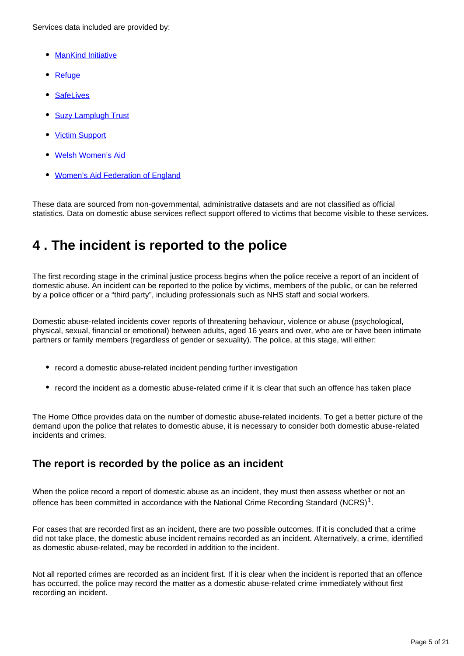Services data included are provided by:

- [ManKind Initiative](https://www.mankind.org.uk/)
- [Refuge](https://www.refuge.org.uk/)
- **[SafeLives](http://www.safelives.org.uk/)**
- [Suzy Lamplugh Trust](https://www.suzylamplugh.org/)
- [Victim Support](https://www.victimsupport.org.uk/)
- [Welsh Women's Aid](http://www.welshwomensaid.org.uk/)
- [Women's Aid Federation of England](https://www.womensaid.org.uk/)

These data are sourced from non-governmental, administrative datasets and are not classified as official statistics. Data on domestic abuse services reflect support offered to victims that become visible to these services.

## <span id="page-4-0"></span>**4 . The incident is reported to the police**

The first recording stage in the criminal justice process begins when the police receive a report of an incident of domestic abuse. An incident can be reported to the police by victims, members of the public, or can be referred by a police officer or a "third party", including professionals such as NHS staff and social workers.

Domestic abuse-related incidents cover reports of threatening behaviour, violence or abuse (psychological, physical, sexual, financial or emotional) between adults, aged 16 years and over, who are or have been intimate partners or family members (regardless of gender or sexuality). The police, at this stage, will either:

- record a domestic abuse-related incident pending further investigation
- record the incident as a domestic abuse-related crime if it is clear that such an offence has taken place

The Home Office provides data on the number of domestic abuse-related incidents. To get a better picture of the demand upon the police that relates to domestic abuse, it is necessary to consider both domestic abuse-related incidents and crimes.

### **The report is recorded by the police as an incident**

When the police record a report of domestic abuse as an incident, they must then assess whether or not an offence has been committed in accordance with the National Crime Recording Standard (NCRS)<sup>1</sup>.

For cases that are recorded first as an incident, there are two possible outcomes. If it is concluded that a crime did not take place, the domestic abuse incident remains recorded as an incident. Alternatively, a crime, identified as domestic abuse-related, may be recorded in addition to the incident.

Not all reported crimes are recorded as an incident first. If it is clear when the incident is reported that an offence has occurred, the police may record the matter as a domestic abuse-related crime immediately without first recording an incident.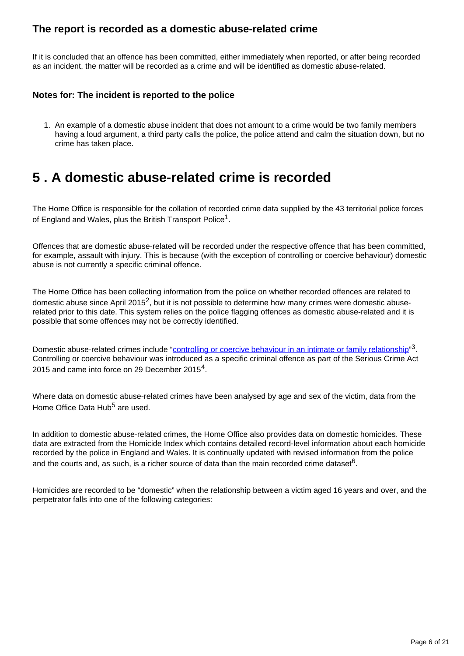### **The report is recorded as a domestic abuse-related crime**

If it is concluded that an offence has been committed, either immediately when reported, or after being recorded as an incident, the matter will be recorded as a crime and will be identified as domestic abuse-related.

#### **Notes for: The incident is reported to the police**

1. An example of a domestic abuse incident that does not amount to a crime would be two family members having a loud argument, a third party calls the police, the police attend and calm the situation down, but no crime has taken place.

## <span id="page-5-0"></span>**5 . A domestic abuse-related crime is recorded**

The Home Office is responsible for the collation of recorded crime data supplied by the 43 territorial police forces of England and Wales, plus the British Transport Police $^{\mathsf{1}}$ .

Offences that are domestic abuse-related will be recorded under the respective offence that has been committed, for example, assault with injury. This is because (with the exception of controlling or coercive behaviour) domestic abuse is not currently a specific criminal offence.

The Home Office has been collecting information from the police on whether recorded offences are related to domestic abuse since April 2015<sup>2</sup>, but it is not possible to determine how many crimes were domestic abuserelated prior to this date. This system relies on the police flagging offences as domestic abuse-related and it is possible that some offences may not be correctly identified.

Domestic abuse-related crimes include "[controlling or coercive behaviour in an intimate or family relationship"](https://www.gov.uk/government/uploads/system/uploads/attachment_data/file/482528/Controlling_or_coercive_behaviour_-_statutory_guidance.pdf)<sup>3</sup>. Controlling or coercive behaviour was introduced as a specific criminal offence as part of the Serious Crime Act 2015 and came into force on 29 December 2015<sup>4</sup>.

Where data on domestic abuse-related crimes have been analysed by age and sex of the victim, data from the Home Office Data Hub $<sup>5</sup>$  are used.</sup>

In addition to domestic abuse-related crimes, the Home Office also provides data on domestic homicides. These data are extracted from the Homicide Index which contains detailed record-level information about each homicide recorded by the police in England and Wales. It is continually updated with revised information from the police and the courts and, as such, is a richer source of data than the main recorded crime dataset $^6$ .

Homicides are recorded to be "domestic" when the relationship between a victim aged 16 years and over, and the perpetrator falls into one of the following categories: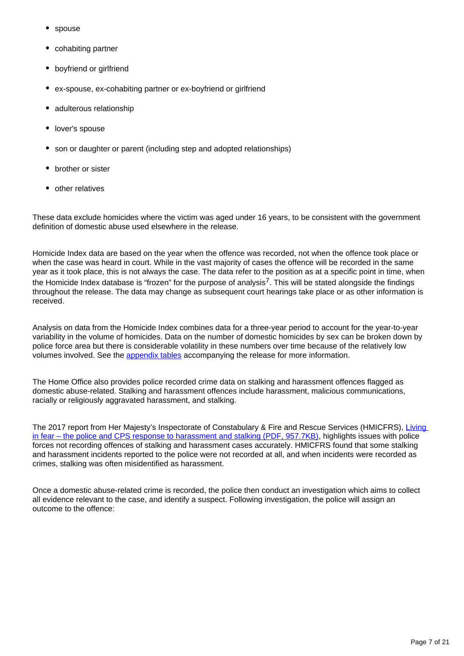- spouse
- cohabiting partner
- boyfriend or girlfriend
- ex-spouse, ex-cohabiting partner or ex-boyfriend or girlfriend
- adulterous relationship
- lover's spouse
- son or daughter or parent (including step and adopted relationships)
- brother or sister
- other relatives

These data exclude homicides where the victim was aged under 16 years, to be consistent with the government definition of domestic abuse used elsewhere in the release.

Homicide Index data are based on the year when the offence was recorded, not when the offence took place or when the case was heard in court. While in the vast majority of cases the offence will be recorded in the same year as it took place, this is not always the case. The data refer to the position as at a specific point in time, when the Homicide Index database is "frozen" for the purpose of analysis<sup>7</sup>. This will be stated alongside the findings throughout the release. The data may change as subsequent court hearings take place or as other information is received.

Analysis on data from the Homicide Index combines data for a three-year period to account for the year-to-year variability in the volume of homicides. Data on the number of domestic homicides by sex can be broken down by police force area but there is considerable volatility in these numbers over time because of the relatively low volumes involved. See the [appendix tables](https://www.ons.gov.uk/peoplepopulationandcommunity/crimeandjustice/datasets/domesticabuseprevalenceandvictimcharacteristicsappendixtables) accompanying the release for more information.

The Home Office also provides police recorded crime data on stalking and harassment offences flagged as domestic abuse-related. Stalking and harassment offences include harassment, malicious communications, racially or religiously aggravated harassment, and stalking.

The 2017 report from Her Majesty's Inspectorate of Constabulary & Fire and Rescue Services (HMICFRS), Living [in fear – the police and CPS response to harassment and stalking \(PDF, 957.7KB\),](https://www.justiceinspectorates.gov.uk/hmicfrs/wp-content/uploads/living-in-fear-the-police-and-cps-response-to-harassment-and-stalking.pdf) highlights issues with police forces not recording offences of stalking and harassment cases accurately. HMICFRS found that some stalking and harassment incidents reported to the police were not recorded at all, and when incidents were recorded as crimes, stalking was often misidentified as harassment.

Once a domestic abuse-related crime is recorded, the police then conduct an investigation which aims to collect all evidence relevant to the case, and identify a suspect. Following investigation, the police will assign an outcome to the offence: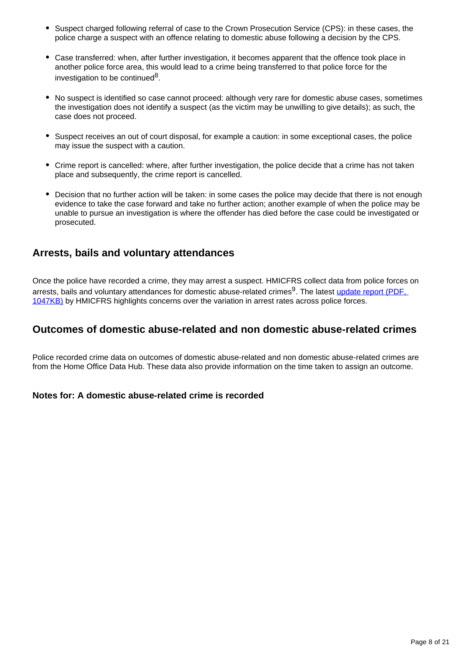- Suspect charged following referral of case to the Crown Prosecution Service (CPS): in these cases, the police charge a suspect with an offence relating to domestic abuse following a decision by the CPS.
- Case transferred: when, after further investigation, it becomes apparent that the offence took place in another police force area, this would lead to a crime being transferred to that police force for the investigation to be continued<sup>8</sup>.
- No suspect is identified so case cannot proceed: although very rare for domestic abuse cases, sometimes the investigation does not identify a suspect (as the victim may be unwilling to give details); as such, the case does not proceed.
- Suspect receives an out of court disposal, for example a caution: in some exceptional cases, the police may issue the suspect with a caution.
- Crime report is cancelled: where, after further investigation, the police decide that a crime has not taken place and subsequently, the crime report is cancelled.
- Decision that no further action will be taken: in some cases the police may decide that there is not enough evidence to take the case forward and take no further action; another example of when the police may be unable to pursue an investigation is where the offender has died before the case could be investigated or prosecuted.

### **Arrests, bails and voluntary attendances**

Once the police have recorded a crime, they may arrest a suspect. HMICFRS collect data from police forces on arrests, bails and voluntary attendances for domestic abuse-related crimes<sup>9</sup>. The latest update report (PDF, [1047KB\)](https://www.justiceinspectorates.gov.uk/hmicfrs/wp-content/uploads/the-police-response-to-domestic-abuse-an-update-report.pdf) by HMICFRS highlights concerns over the variation in arrest rates across police forces.

#### **Outcomes of domestic abuse-related and non domestic abuse-related crimes**

Police recorded crime data on outcomes of domestic abuse-related and non domestic abuse-related crimes are from the Home Office Data Hub. These data also provide information on the time taken to assign an outcome.

#### **Notes for: A domestic abuse-related crime is recorded**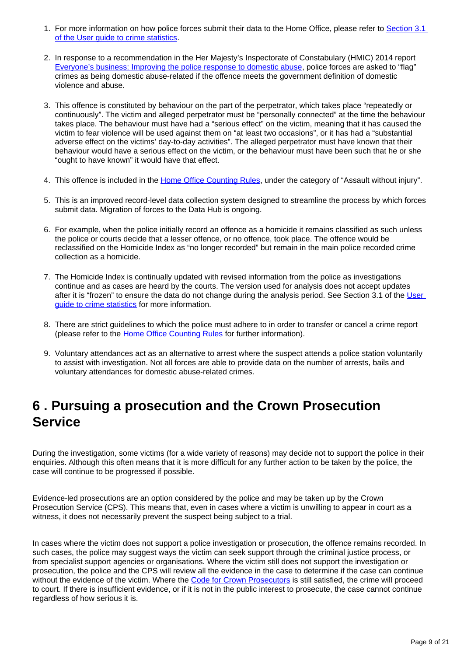- 1. For more information on how police forces submit their data to the Home Office, please refer to Section 3.1 [of the User guide to crime statistics.](https://www.ons.gov.uk/peoplepopulationandcommunity/crimeandjustice/methodologies/userguidetocrimestatisticsforenglandandwales#police-recorded-crime)
- 2. In response to a recommendation in the Her Majesty's Inspectorate of Constabulary (HMIC) 2014 report [Everyone's business: Improving the police response to domestic abuse,](https://www.justiceinspectorates.gov.uk/hmic/wp-content/uploads/2014/04/improving-the-police-response-to-domestic-abuse.pdf) police forces are asked to "flag" crimes as being domestic abuse-related if the offence meets the government definition of domestic violence and abuse.
- 3. This offence is constituted by behaviour on the part of the perpetrator, which takes place "repeatedly or continuously". The victim and alleged perpetrator must be "personally connected" at the time the behaviour takes place. The behaviour must have had a "serious effect" on the victim, meaning that it has caused the victim to fear violence will be used against them on "at least two occasions", or it has had a "substantial adverse effect on the victims' day-to-day activities". The alleged perpetrator must have known that their behaviour would have a serious effect on the victim, or the behaviour must have been such that he or she "ought to have known" it would have that effect.
- 4. This offence is included in the <u>Home Office Counting Rules</u>, under the category of "Assault without injury".
- 5. This is an improved record-level data collection system designed to streamline the process by which forces submit data. Migration of forces to the Data Hub is ongoing.
- 6. For example, when the police initially record an offence as a homicide it remains classified as such unless the police or courts decide that a lesser offence, or no offence, took place. The offence would be reclassified on the Homicide Index as "no longer recorded" but remain in the main police recorded crime collection as a homicide.
- 7. The Homicide Index is continually updated with revised information from the police as investigations continue and as cases are heard by the courts. The version used for analysis does not accept updates after it is "frozen" to ensure the data do not change during the analysis period. See Section 3.1 of the User [guide to crime statistics](https://www.ons.gov.uk/peoplepopulationandcommunity/crimeandjustice/methodologies/userguidetocrimestatisticsforenglandandwales) for more information.
- 8. There are strict guidelines to which the police must adhere to in order to transfer or cancel a crime report (please refer to the [Home Office Counting Rules](https://www.gov.uk/government/publications/counting-rules-for-recorded-crime) for further information).
- 9. Voluntary attendances act as an alternative to arrest where the suspect attends a police station voluntarily to assist with investigation. Not all forces are able to provide data on the number of arrests, bails and voluntary attendances for domestic abuse-related crimes.

## <span id="page-8-0"></span>**6 . Pursuing a prosecution and the Crown Prosecution Service**

During the investigation, some victims (for a wide variety of reasons) may decide not to support the police in their enquiries. Although this often means that it is more difficult for any further action to be taken by the police, the case will continue to be progressed if possible.

Evidence-led prosecutions are an option considered by the police and may be taken up by the Crown Prosecution Service (CPS). This means that, even in cases where a victim is unwilling to appear in court as a witness, it does not necessarily prevent the suspect being subject to a trial.

In cases where the victim does not support a police investigation or prosecution, the offence remains recorded. In such cases, the police may suggest ways the victim can seek support through the criminal justice process, or from specialist support agencies or organisations. Where the victim still does not support the investigation or prosecution, the police and the CPS will review all the evidence in the case to determine if the case can continue without the evidence of the victim. Where the [Code for Crown Prosecutors](http://www.cps.gov.uk/publications/code_for_crown_prosecutors/) is still satisfied, the crime will proceed to court. If there is insufficient evidence, or if it is not in the public interest to prosecute, the case cannot continue regardless of how serious it is.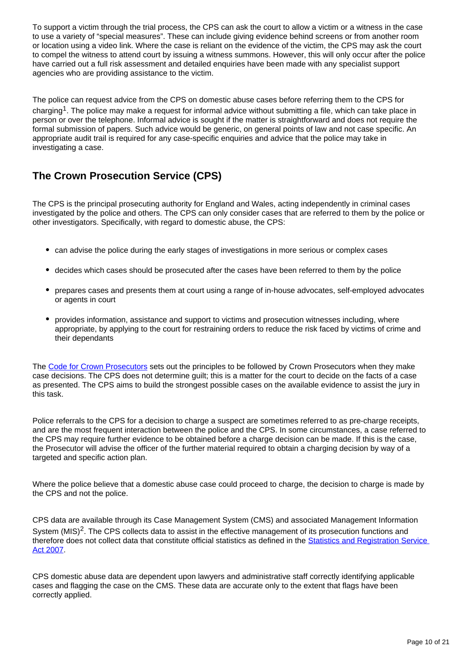To support a victim through the trial process, the CPS can ask the court to allow a victim or a witness in the case to use a variety of "special measures". These can include giving evidence behind screens or from another room or location using a video link. Where the case is reliant on the evidence of the victim, the CPS may ask the court to compel the witness to attend court by issuing a witness summons. However, this will only occur after the police have carried out a full risk assessment and detailed enquiries have been made with any specialist support agencies who are providing assistance to the victim.

The police can request advice from the CPS on domestic abuse cases before referring them to the CPS for charging<sup>1</sup>. The police may make a request for informal advice without submitting a file, which can take place in person or over the telephone. Informal advice is sought if the matter is straightforward and does not require the formal submission of papers. Such advice would be generic, on general points of law and not case specific. An appropriate audit trail is required for any case-specific enquiries and advice that the police may take in investigating a case.

## **The Crown Prosecution Service (CPS)**

The CPS is the principal prosecuting authority for England and Wales, acting independently in criminal cases investigated by the police and others. The CPS can only consider cases that are referred to them by the police or other investigators. Specifically, with regard to domestic abuse, the CPS:

- can advise the police during the early stages of investigations in more serious or complex cases
- decides which cases should be prosecuted after the cases have been referred to them by the police
- prepares cases and presents them at court using a range of in-house advocates, self-employed advocates or agents in court
- provides information, assistance and support to victims and prosecution witnesses including, where appropriate, by applying to the court for restraining orders to reduce the risk faced by victims of crime and their dependants

The [Code for Crown Prosecutors](http://www.cps.gov.uk/publications/code_for_crown_prosecutors/) sets out the principles to be followed by Crown Prosecutors when they make case decisions. The CPS does not determine guilt; this is a matter for the court to decide on the facts of a case as presented. The CPS aims to build the strongest possible cases on the available evidence to assist the jury in this task.

Police referrals to the CPS for a decision to charge a suspect are sometimes referred to as pre-charge receipts, and are the most frequent interaction between the police and the CPS. In some circumstances, a case referred to the CPS may require further evidence to be obtained before a charge decision can be made. If this is the case, the Prosecutor will advise the officer of the further material required to obtain a charging decision by way of a targeted and specific action plan.

Where the police believe that a domestic abuse case could proceed to charge, the decision to charge is made by the CPS and not the police.

CPS data are available through its Case Management System (CMS) and associated Management Information System (MIS)<sup>2</sup>. The CPS collects data to assist in the effective management of its prosecution functions and therefore does not collect data that constitute official statistics as defined in the [Statistics and Registration Service](http://www.legislation.gov.uk/ukpga/2007/18/contents)  [Act 2007.](http://www.legislation.gov.uk/ukpga/2007/18/contents)

CPS domestic abuse data are dependent upon lawyers and administrative staff correctly identifying applicable cases and flagging the case on the CMS. These data are accurate only to the extent that flags have been correctly applied.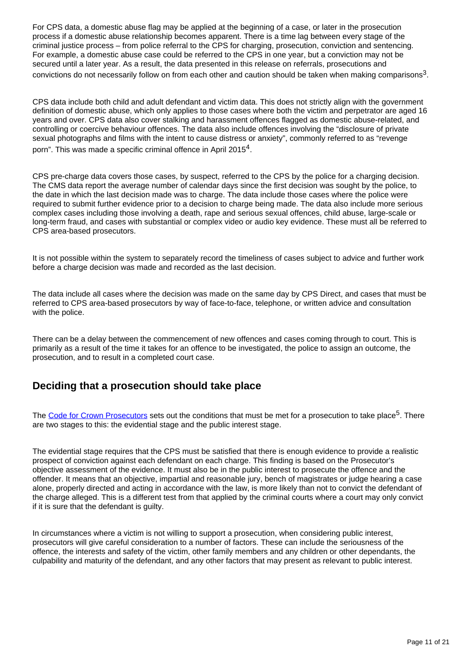For CPS data, a domestic abuse flag may be applied at the beginning of a case, or later in the prosecution process if a domestic abuse relationship becomes apparent. There is a time lag between every stage of the criminal justice process – from police referral to the CPS for charging, prosecution, conviction and sentencing. For example, a domestic abuse case could be referred to the CPS in one year, but a conviction may not be secured until a later year. As a result, the data presented in this release on referrals, prosecutions and convictions do not necessarily follow on from each other and caution should be taken when making comparisons<sup>3</sup>.

CPS data include both child and adult defendant and victim data. This does not strictly align with the government definition of domestic abuse, which only applies to those cases where both the victim and perpetrator are aged 16 years and over. CPS data also cover stalking and harassment offences flagged as domestic abuse-related, and controlling or coercive behaviour offences. The data also include offences involving the "disclosure of private sexual photographs and films with the intent to cause distress or anxiety", commonly referred to as "revenge porn". This was made a specific criminal offence in April 2015 $^4$ .

CPS pre-charge data covers those cases, by suspect, referred to the CPS by the police for a charging decision. The CMS data report the average number of calendar days since the first decision was sought by the police, to the date in which the last decision made was to charge. The data include those cases where the police were required to submit further evidence prior to a decision to charge being made. The data also include more serious complex cases including those involving a death, rape and serious sexual offences, child abuse, large-scale or long-term fraud, and cases with substantial or complex video or audio key evidence. These must all be referred to CPS area-based prosecutors.

It is not possible within the system to separately record the timeliness of cases subject to advice and further work before a charge decision was made and recorded as the last decision.

The data include all cases where the decision was made on the same day by CPS Direct, and cases that must be referred to CPS area-based prosecutors by way of face-to-face, telephone, or written advice and consultation with the police.

There can be a delay between the commencement of new offences and cases coming through to court. This is primarily as a result of the time it takes for an offence to be investigated, the police to assign an outcome, the prosecution, and to result in a completed court case.

### **Deciding that a prosecution should take place**

The [Code for Crown Prosecutors](http://www.cps.gov.uk/publications/code_for_crown_prosecutors/) sets out the conditions that must be met for a prosecution to take place<sup>5</sup>. There are two stages to this: the evidential stage and the public interest stage.

The evidential stage requires that the CPS must be satisfied that there is enough evidence to provide a realistic prospect of conviction against each defendant on each charge. This finding is based on the Prosecutor's objective assessment of the evidence. It must also be in the public interest to prosecute the offence and the offender. It means that an objective, impartial and reasonable jury, bench of magistrates or judge hearing a case alone, properly directed and acting in accordance with the law, is more likely than not to convict the defendant of the charge alleged. This is a different test from that applied by the criminal courts where a court may only convict if it is sure that the defendant is guilty.

In circumstances where a victim is not willing to support a prosecution, when considering public interest, prosecutors will give careful consideration to a number of factors. These can include the seriousness of the offence, the interests and safety of the victim, other family members and any children or other dependants, the culpability and maturity of the defendant, and any other factors that may present as relevant to public interest.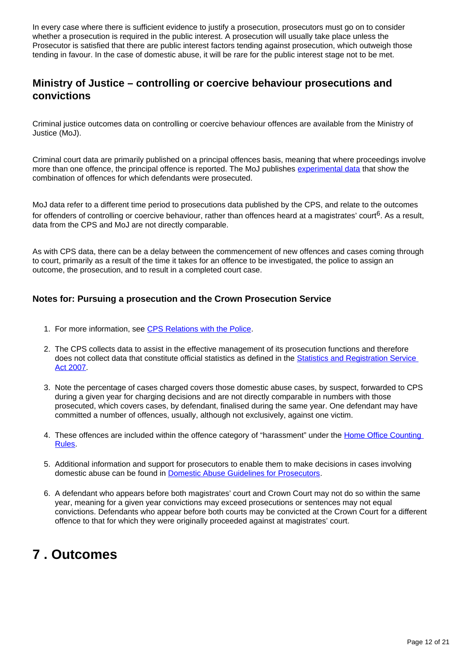In every case where there is sufficient evidence to justify a prosecution, prosecutors must go on to consider whether a prosecution is required in the public interest. A prosecution will usually take place unless the Prosecutor is satisfied that there are public interest factors tending against prosecution, which outweigh those tending in favour. In the case of domestic abuse, it will be rare for the public interest stage not to be met.

### **Ministry of Justice – controlling or coercive behaviour prosecutions and convictions**

Criminal justice outcomes data on controlling or coercive behaviour offences are available from the Ministry of Justice (MoJ).

Criminal court data are primarily published on a principal offences basis, meaning that where proceedings involve more than one offence, the principal offence is reported. The MoJ publishes [experimental data](https://www.gov.uk/government/collections/criminal-justice-statistics-quarterly) that show the combination of offences for which defendants were prosecuted.

MoJ data refer to a different time period to prosecutions data published by the CPS, and relate to the outcomes for offenders of controlling or coercive behaviour, rather than offences heard at a magistrates' court<sup>6</sup>. As a result, data from the CPS and MoJ are not directly comparable.

As with CPS data, there can be a delay between the commencement of new offences and cases coming through to court, primarily as a result of the time it takes for an offence to be investigated, the police to assign an outcome, the prosecution, and to result in a completed court case.

#### **Notes for: Pursuing a prosecution and the Crown Prosecution Service**

- 1. For more information, see [CPS Relations with the Police](http://www.cps.gov.uk/legal/a_to_c/cps_relations_with_the_police/).
- 2. The CPS collects data to assist in the effective management of its prosecution functions and therefore does not collect data that constitute official statistics as defined in the [Statistics and Registration Service](http://www.legislation.gov.uk/ukpga/2007/18/contents)  [Act 2007](http://www.legislation.gov.uk/ukpga/2007/18/contents).
- 3. Note the percentage of cases charged covers those domestic abuse cases, by suspect, forwarded to CPS during a given year for charging decisions and are not directly comparable in numbers with those prosecuted, which covers cases, by defendant, finalised during the same year. One defendant may have committed a number of offences, usually, although not exclusively, against one victim.
- 4. These offences are included within the offence category of "harassment" under the Home Office Counting [Rules](https://assets.publishing.service.gov.uk/government/uploads/system/uploads/attachment_data/file/845362/count-violence-nov-2019.pdf).
- 5. Additional information and support for prosecutors to enable them to make decisions in cases involving domestic abuse can be found in [Domestic Abuse Guidelines for Prosecutors.](https://www.cps.gov.uk/legal/d_to_g/domestic_abuse_guidelines_for_prosecutors/)
- 6. A defendant who appears before both magistrates' court and Crown Court may not do so within the same year, meaning for a given year convictions may exceed prosecutions or sentences may not equal convictions. Defendants who appear before both courts may be convicted at the Crown Court for a different offence to that for which they were originally proceeded against at magistrates' court.

## <span id="page-11-0"></span>**7 . Outcomes**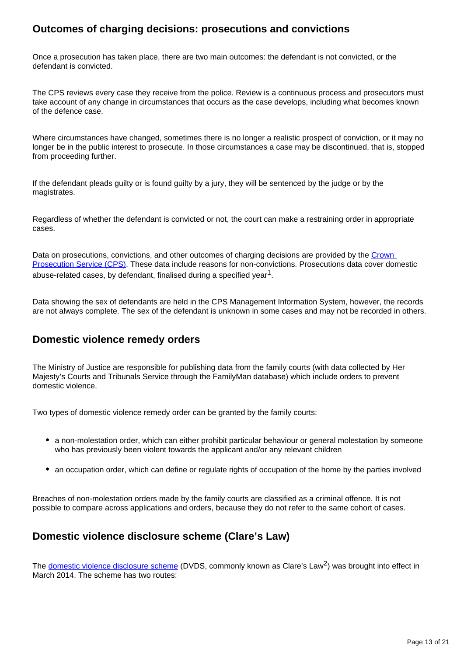### **Outcomes of charging decisions: prosecutions and convictions**

Once a prosecution has taken place, there are two main outcomes: the defendant is not convicted, or the defendant is convicted.

The CPS reviews every case they receive from the police. Review is a continuous process and prosecutors must take account of any change in circumstances that occurs as the case develops, including what becomes known of the defence case.

Where circumstances have changed, sometimes there is no longer a realistic prospect of conviction, or it may no longer be in the public interest to prosecute. In those circumstances a case may be discontinued, that is, stopped from proceeding further.

If the defendant pleads guilty or is found guilty by a jury, they will be sentenced by the judge or by the magistrates.

Regardless of whether the defendant is convicted or not, the court can make a restraining order in appropriate cases.

Data on prosecutions, convictions, and other outcomes of charging decisions are provided by the Crown [Prosecution Service \(CPS\).](https://www.ons.gov.uk/peoplepopulationandcommunity/crimeandjustice/articles/howdomesticabusedataarecapturedthroughthecriminaljusticesystem/2019-11-25#pursuing-a-prosecution-and-the-crown-prosecution-service) These data include reasons for non-convictions. Prosecutions data cover domestic abuse-related cases, by defendant, finalised during a specified year<sup>1</sup>.

Data showing the sex of defendants are held in the CPS Management Information System, however, the records are not always complete. The sex of the defendant is unknown in some cases and may not be recorded in others.

#### **Domestic violence remedy orders**

The Ministry of Justice are responsible for publishing data from the family courts (with data collected by Her Majesty's Courts and Tribunals Service through the FamilyMan database) which include orders to prevent domestic violence.

Two types of domestic violence remedy order can be granted by the family courts:

- a non-molestation order, which can either prohibit particular behaviour or general molestation by someone who has previously been violent towards the applicant and/or any relevant children
- an occupation order, which can define or regulate rights of occupation of the home by the parties involved

Breaches of non-molestation orders made by the family courts are classified as a criminal offence. It is not possible to compare across applications and orders, because they do not refer to the same cohort of cases.

### **Domestic violence disclosure scheme (Clare's Law)**

The [domestic violence disclosure scheme](https://www.gov.uk/government/publications/domestic-violence-disclosure-scheme-pilot-guidance) (DVDS, commonly known as Clare's Law<sup>2</sup>) was brought into effect in March 2014. The scheme has two routes: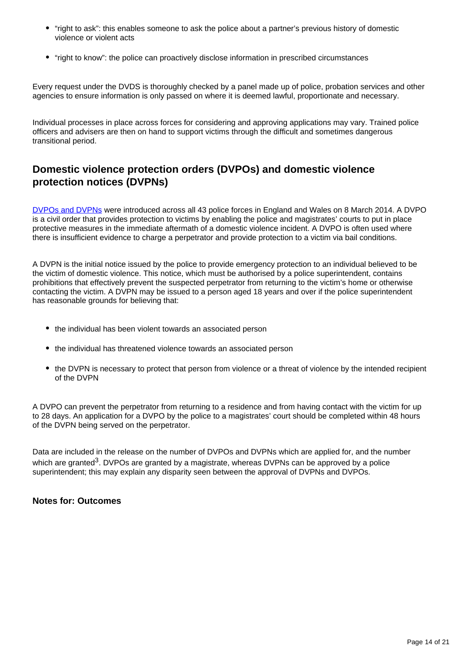- "right to ask": this enables someone to ask the police about a partner's previous history of domestic violence or violent acts
- "right to know": the police can proactively disclose information in prescribed circumstances

Every request under the DVDS is thoroughly checked by a panel made up of police, probation services and other agencies to ensure information is only passed on where it is deemed lawful, proportionate and necessary.

Individual processes in place across forces for considering and approving applications may vary. Trained police officers and advisers are then on hand to support victims through the difficult and sometimes dangerous transitional period.

### **Domestic violence protection orders (DVPOs) and domestic violence protection notices (DVPNs)**

[DVPOs and DVPNs](https://www.app.college.police.uk/app-content/major-investigation-and-public-protection/domestic-abuse/arrest-and-other-positive-approaches/domestic-violence-protection-notices-and-domestic-violence-protection-orders/) were introduced across all 43 police forces in England and Wales on 8 March 2014. A DVPO is a civil order that provides protection to victims by enabling the police and magistrates' courts to put in place protective measures in the immediate aftermath of a domestic violence incident. A DVPO is often used where there is insufficient evidence to charge a perpetrator and provide protection to a victim via bail conditions.

A DVPN is the initial notice issued by the police to provide emergency protection to an individual believed to be the victim of domestic violence. This notice, which must be authorised by a police superintendent, contains prohibitions that effectively prevent the suspected perpetrator from returning to the victim's home or otherwise contacting the victim. A DVPN may be issued to a person aged 18 years and over if the police superintendent has reasonable grounds for believing that:

- the individual has been violent towards an associated person
- the individual has threatened violence towards an associated person
- the DVPN is necessary to protect that person from violence or a threat of violence by the intended recipient of the DVPN

A DVPO can prevent the perpetrator from returning to a residence and from having contact with the victim for up to 28 days. An application for a DVPO by the police to a magistrates' court should be completed within 48 hours of the DVPN being served on the perpetrator.

Data are included in the release on the number of DVPOs and DVPNs which are applied for, and the number which are granted<sup>3</sup>. DVPOs are granted by a magistrate, whereas DVPNs can be approved by a police superintendent; this may explain any disparity seen between the approval of DVPNs and DVPOs.

#### **Notes for: Outcomes**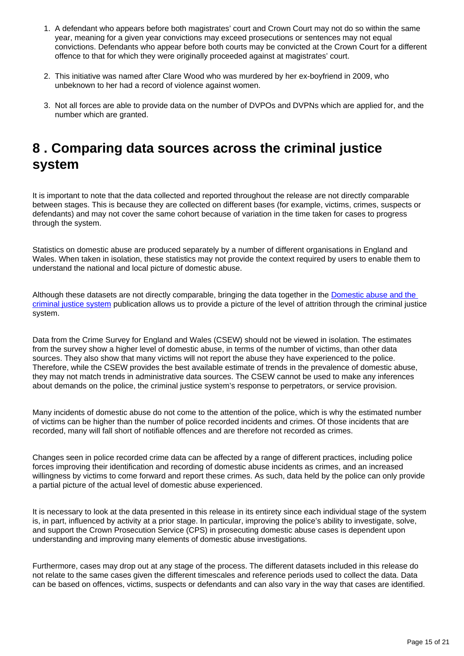- 1. A defendant who appears before both magistrates' court and Crown Court may not do so within the same year, meaning for a given year convictions may exceed prosecutions or sentences may not equal convictions. Defendants who appear before both courts may be convicted at the Crown Court for a different offence to that for which they were originally proceeded against at magistrates' court.
- 2. This initiative was named after Clare Wood who was murdered by her ex-boyfriend in 2009, who unbeknown to her had a record of violence against women.
- 3. Not all forces are able to provide data on the number of DVPOs and DVPNs which are applied for, and the number which are granted.

## <span id="page-14-0"></span>**8 . Comparing data sources across the criminal justice system**

It is important to note that the data collected and reported throughout the release are not directly comparable between stages. This is because they are collected on different bases (for example, victims, crimes, suspects or defendants) and may not cover the same cohort because of variation in the time taken for cases to progress through the system.

Statistics on domestic abuse are produced separately by a number of different organisations in England and Wales. When taken in isolation, these statistics may not provide the context required by users to enable them to understand the national and local picture of domestic abuse.

Although these datasets are not directly comparable, bringing the data together in the [Domestic abuse and the](https://www.ons.gov.uk/peoplepopulationandcommunity/crimeandjustice/articles/domesticabuseandthecriminaljusticesystemenglandandwales/november2020)  [criminal justice system](https://www.ons.gov.uk/peoplepopulationandcommunity/crimeandjustice/articles/domesticabuseandthecriminaljusticesystemenglandandwales/november2020) publication allows us to provide a picture of the level of attrition through the criminal justice system.

Data from the Crime Survey for England and Wales (CSEW) should not be viewed in isolation. The estimates from the survey show a higher level of domestic abuse, in terms of the number of victims, than other data sources. They also show that many victims will not report the abuse they have experienced to the police. Therefore, while the CSEW provides the best available estimate of trends in the prevalence of domestic abuse, they may not match trends in administrative data sources. The CSEW cannot be used to make any inferences about demands on the police, the criminal justice system's response to perpetrators, or service provision.

Many incidents of domestic abuse do not come to the attention of the police, which is why the estimated number of victims can be higher than the number of police recorded incidents and crimes. Of those incidents that are recorded, many will fall short of notifiable offences and are therefore not recorded as crimes.

Changes seen in police recorded crime data can be affected by a range of different practices, including police forces improving their identification and recording of domestic abuse incidents as crimes, and an increased willingness by victims to come forward and report these crimes. As such, data held by the police can only provide a partial picture of the actual level of domestic abuse experienced.

It is necessary to look at the data presented in this release in its entirety since each individual stage of the system is, in part, influenced by activity at a prior stage. In particular, improving the police's ability to investigate, solve, and support the Crown Prosecution Service (CPS) in prosecuting domestic abuse cases is dependent upon understanding and improving many elements of domestic abuse investigations.

Furthermore, cases may drop out at any stage of the process. The different datasets included in this release do not relate to the same cases given the different timescales and reference periods used to collect the data. Data can be based on offences, victims, suspects or defendants and can also vary in the way that cases are identified.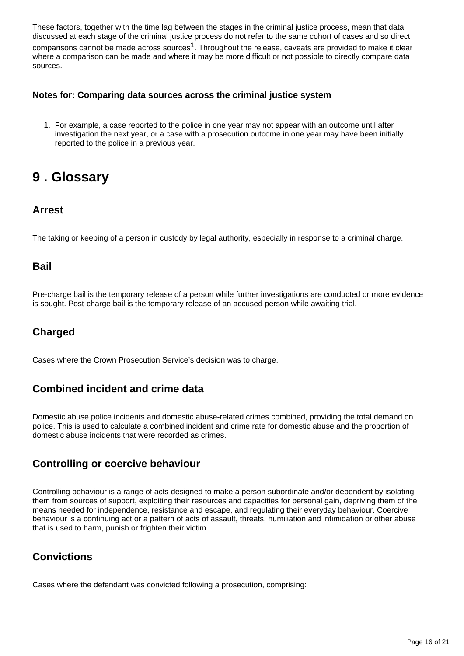These factors, together with the time lag between the stages in the criminal justice process, mean that data discussed at each stage of the criminal justice process do not refer to the same cohort of cases and so direct comparisons cannot be made across sources<sup>1</sup>. Throughout the release, caveats are provided to make it clear where a comparison can be made and where it may be more difficult or not possible to directly compare data sources.

#### **Notes for: Comparing data sources across the criminal justice system**

1. For example, a case reported to the police in one year may not appear with an outcome until after investigation the next year, or a case with a prosecution outcome in one year may have been initially reported to the police in a previous year.

## <span id="page-15-0"></span>**9 . Glossary**

### **Arrest**

The taking or keeping of a person in custody by legal authority, especially in response to a criminal charge.

#### **Bail**

Pre-charge bail is the temporary release of a person while further investigations are conducted or more evidence is sought. Post-charge bail is the temporary release of an accused person while awaiting trial.

## **Charged**

Cases where the Crown Prosecution Service's decision was to charge.

### **Combined incident and crime data**

Domestic abuse police incidents and domestic abuse-related crimes combined, providing the total demand on police. This is used to calculate a combined incident and crime rate for domestic abuse and the proportion of domestic abuse incidents that were recorded as crimes.

### **Controlling or coercive behaviour**

Controlling behaviour is a range of acts designed to make a person subordinate and/or dependent by isolating them from sources of support, exploiting their resources and capacities for personal gain, depriving them of the means needed for independence, resistance and escape, and regulating their everyday behaviour. Coercive behaviour is a continuing act or a pattern of acts of assault, threats, humiliation and intimidation or other abuse that is used to harm, punish or frighten their victim.

## **Convictions**

Cases where the defendant was convicted following a prosecution, comprising: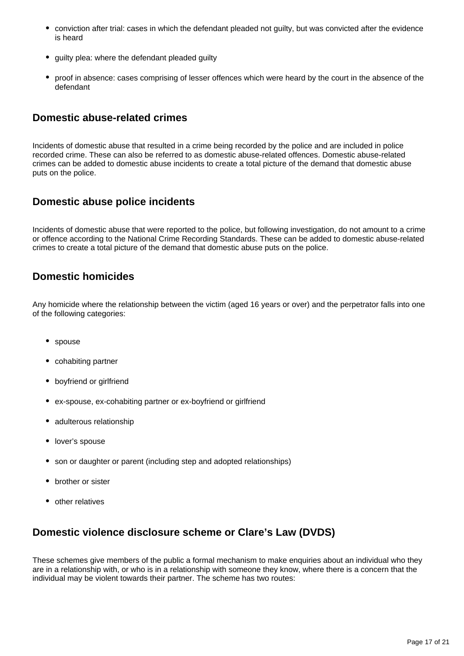- conviction after trial: cases in which the defendant pleaded not guilty, but was convicted after the evidence is heard
- guilty plea: where the defendant pleaded guilty
- proof in absence: cases comprising of lesser offences which were heard by the court in the absence of the defendant

#### **Domestic abuse-related crimes**

Incidents of domestic abuse that resulted in a crime being recorded by the police and are included in police recorded crime. These can also be referred to as domestic abuse-related offences. Domestic abuse-related crimes can be added to domestic abuse incidents to create a total picture of the demand that domestic abuse puts on the police.

#### **Domestic abuse police incidents**

Incidents of domestic abuse that were reported to the police, but following investigation, do not amount to a crime or offence according to the National Crime Recording Standards. These can be added to domestic abuse-related crimes to create a total picture of the demand that domestic abuse puts on the police.

#### **Domestic homicides**

Any homicide where the relationship between the victim (aged 16 years or over) and the perpetrator falls into one of the following categories:

- spouse
- cohabiting partner
- boyfriend or girlfriend
- ex-spouse, ex-cohabiting partner or ex-boyfriend or girlfriend
- adulterous relationship
- lover's spouse
- son or daughter or parent (including step and adopted relationships)
- brother or sister
- other relatives

### **Domestic violence disclosure scheme or Clare's Law (DVDS)**

These schemes give members of the public a formal mechanism to make enquiries about an individual who they are in a relationship with, or who is in a relationship with someone they know, where there is a concern that the individual may be violent towards their partner. The scheme has two routes: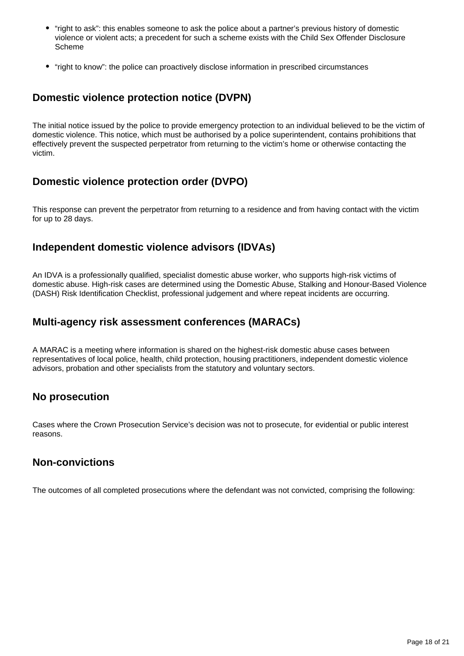- "right to ask": this enables someone to ask the police about a partner's previous history of domestic violence or violent acts; a precedent for such a scheme exists with the Child Sex Offender Disclosure Scheme
- "right to know": the police can proactively disclose information in prescribed circumstances

### **Domestic violence protection notice (DVPN)**

The initial notice issued by the police to provide emergency protection to an individual believed to be the victim of domestic violence. This notice, which must be authorised by a police superintendent, contains prohibitions that effectively prevent the suspected perpetrator from returning to the victim's home or otherwise contacting the victim.

### **Domestic violence protection order (DVPO)**

This response can prevent the perpetrator from returning to a residence and from having contact with the victim for up to 28 days.

#### **Independent domestic violence advisors (IDVAs)**

An IDVA is a professionally qualified, specialist domestic abuse worker, who supports high-risk victims of domestic abuse. High-risk cases are determined using the Domestic Abuse, Stalking and Honour-Based Violence (DASH) Risk Identification Checklist, professional judgement and where repeat incidents are occurring.

#### **Multi-agency risk assessment conferences (MARACs)**

A MARAC is a meeting where information is shared on the highest-risk domestic abuse cases between representatives of local police, health, child protection, housing practitioners, independent domestic violence advisors, probation and other specialists from the statutory and voluntary sectors.

#### **No prosecution**

Cases where the Crown Prosecution Service's decision was not to prosecute, for evidential or public interest reasons.

#### **Non-convictions**

The outcomes of all completed prosecutions where the defendant was not convicted, comprising the following: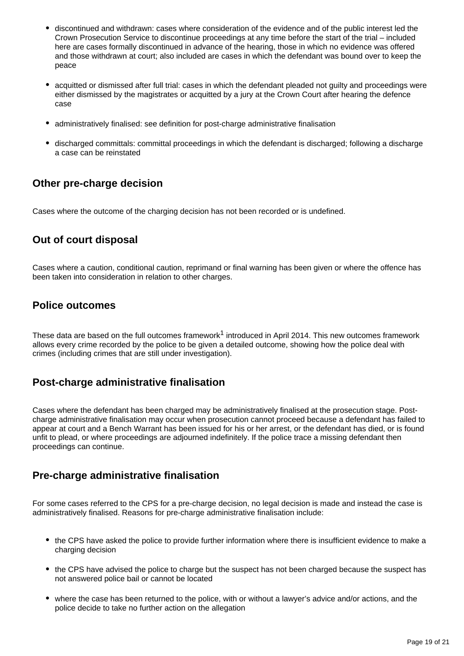- discontinued and withdrawn: cases where consideration of the evidence and of the public interest led the Crown Prosecution Service to discontinue proceedings at any time before the start of the trial – included here are cases formally discontinued in advance of the hearing, those in which no evidence was offered and those withdrawn at court; also included are cases in which the defendant was bound over to keep the peace
- acquitted or dismissed after full trial: cases in which the defendant pleaded not guilty and proceedings were either dismissed by the magistrates or acquitted by a jury at the Crown Court after hearing the defence case
- administratively finalised: see definition for post-charge administrative finalisation
- discharged committals: committal proceedings in which the defendant is discharged; following a discharge a case can be reinstated

### **Other pre-charge decision**

Cases where the outcome of the charging decision has not been recorded or is undefined.

#### **Out of court disposal**

Cases where a caution, conditional caution, reprimand or final warning has been given or where the offence has been taken into consideration in relation to other charges.

#### **Police outcomes**

These data are based on the full outcomes framework<sup>1</sup> introduced in April 2014. This new outcomes framework allows every crime recorded by the police to be given a detailed outcome, showing how the police deal with crimes (including crimes that are still under investigation).

#### **Post-charge administrative finalisation**

Cases where the defendant has been charged may be administratively finalised at the prosecution stage. Postcharge administrative finalisation may occur when prosecution cannot proceed because a defendant has failed to appear at court and a Bench Warrant has been issued for his or her arrest, or the defendant has died, or is found unfit to plead, or where proceedings are adjourned indefinitely. If the police trace a missing defendant then proceedings can continue.

#### **Pre-charge administrative finalisation**

For some cases referred to the CPS for a pre-charge decision, no legal decision is made and instead the case is administratively finalised. Reasons for pre-charge administrative finalisation include:

- the CPS have asked the police to provide further information where there is insufficient evidence to make a charging decision
- the CPS have advised the police to charge but the suspect has not been charged because the suspect has not answered police bail or cannot be located
- where the case has been returned to the police, with or without a lawyer's advice and/or actions, and the police decide to take no further action on the allegation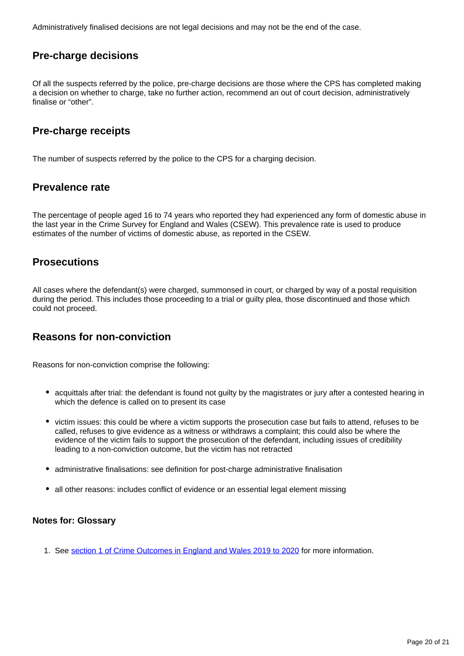Administratively finalised decisions are not legal decisions and may not be the end of the case.

### **Pre-charge decisions**

Of all the suspects referred by the police, pre-charge decisions are those where the CPS has completed making a decision on whether to charge, take no further action, recommend an out of court decision, administratively finalise or "other".

#### **Pre-charge receipts**

The number of suspects referred by the police to the CPS for a charging decision.

#### **Prevalence rate**

The percentage of people aged 16 to 74 years who reported they had experienced any form of domestic abuse in the last year in the Crime Survey for England and Wales (CSEW). This prevalence rate is used to produce estimates of the number of victims of domestic abuse, as reported in the CSEW.

#### **Prosecutions**

All cases where the defendant(s) were charged, summonsed in court, or charged by way of a postal requisition during the period. This includes those proceeding to a trial or guilty plea, those discontinued and those which could not proceed.

### **Reasons for non-conviction**

Reasons for non-conviction comprise the following:

- acquittals after trial: the defendant is found not guilty by the magistrates or jury after a contested hearing in which the defence is called on to present its case
- victim issues: this could be where a victim supports the prosecution case but fails to attend, refuses to be called, refuses to give evidence as a witness or withdraws a complaint; this could also be where the evidence of the victim fails to support the prosecution of the defendant, including issues of credibility leading to a non-conviction outcome, but the victim has not retracted
- administrative finalisations: see definition for post-charge administrative finalisation
- all other reasons: includes conflict of evidence or an essential legal element missing

#### **Notes for: Glossary**

1. See [section 1 of Crime Outcomes in England and Wales 2019 to 2020](https://www.gov.uk/government/statistics/crime-outcomes-in-england-and-wales-2019-to-2020) for more information.